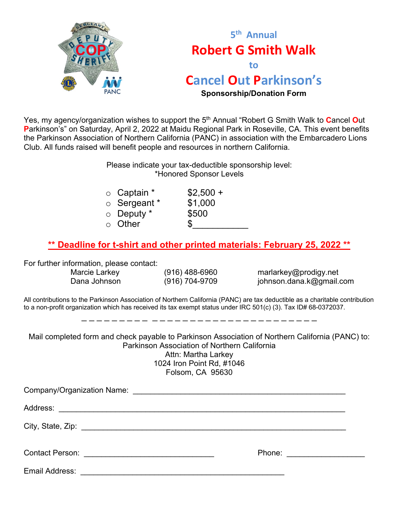



Yes, my agency/organization wishes to support the 5th Annual "Robert G Smith Walk to **C**ancel **O**ut **P**arkinson's" on Saturday, April 2, 2022 at Maidu Regional Park in Roseville, CA. This event benefits the Parkinson Association of Northern California (PANC) in association with the Embarcadero Lions Club. All funds raised will benefit people and resources in northern California.

> Please indicate your tax-deductible sponsorship level: \*Honored Sponsor Levels

| $\circ$ Captain $^*$ | $$2,500 +$ |
|----------------------|------------|
| $\circ$ Sergeant *   | \$1,000    |
| $\circ$ Deputy $^*$  | \$500      |
| $\circ$ Other        | S          |
|                      |            |

## **\*\* Deadline for t-shirt and other printed materials: February 25, 2022 \*\***

For further information, please contact:

Marcie Larkey (916) 488-6960 marlarkey@prodigy.net Dana Johnson (916) 704-9709 iohnson.dana.k@gmail.com

All contributions to the Parkinson Association of Northern California (PANC) are tax deductible as a charitable contribution to a non-profit organization which has received its tax exempt status under IRC 501(c) (3). Tax ID# 68-0372037.

\_\_\_\_ \_\_\_\_\_\_\_\_\_\_\_\_\_\_\_\_\_\_\_\_

Mail completed form and check payable to Parkinson Association of Northern California (PANC) to: Parkinson Association of Northern California Attn: Martha Larkey 1024 Iron Point Rd, #1046 Folsom, CA 95630

| Email Address: |  |  |  |  |  |  |
|----------------|--|--|--|--|--|--|